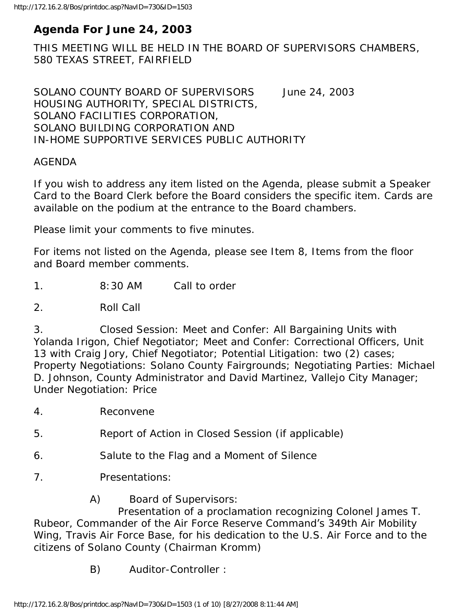# **Agenda For June 24, 2003**

THIS MEETING WILL BE HELD IN THE BOARD OF SUPERVISORS CHAMBERS, 580 TEXAS STREET, FAIRFIELD

SOLANO COUNTY BOARD OF SUPERVISORS June 24, 2003 HOUSING AUTHORITY, SPECIAL DISTRICTS, SOLANO FACILITIES CORPORATION, SOLANO BUILDING CORPORATION AND IN-HOME SUPPORTIVE SERVICES PUBLIC AUTHORITY

#### AGENDA

If you wish to address any item listed on the Agenda, please submit a Speaker Card to the Board Clerk before the Board considers the specific item. Cards are available on the podium at the entrance to the Board chambers.

Please limit your comments to five minutes.

For items not listed on the Agenda, please see Item 8, Items from the floor and Board member comments.

1. 8:30 AM Call to order

2. Roll Call

3. Closed Session: Meet and Confer: All Bargaining Units with Yolanda Irigon, Chief Negotiator; Meet and Confer: Correctional Officers, Unit 13 with Craig Jory, Chief Negotiator; Potential Litigation: two (2) cases; Property Negotiations: Solano County Fairgrounds; Negotiating Parties: Michael D. Johnson, County Administrator and David Martinez, Vallejo City Manager; Under Negotiation: Price

- 4. Reconvene
- 5. Report of Action in Closed Session (if applicable)
- 6. Salute to the Flag and a Moment of Silence
- 7. Presentations:
	- A) Board of Supervisors:

 Presentation of a proclamation recognizing Colonel James T. Rubeor, Commander of the Air Force Reserve Command's 349th Air Mobility Wing, Travis Air Force Base, for his dedication to the U.S. Air Force and to the citizens of Solano County (Chairman Kromm)

B) Auditor-Controller :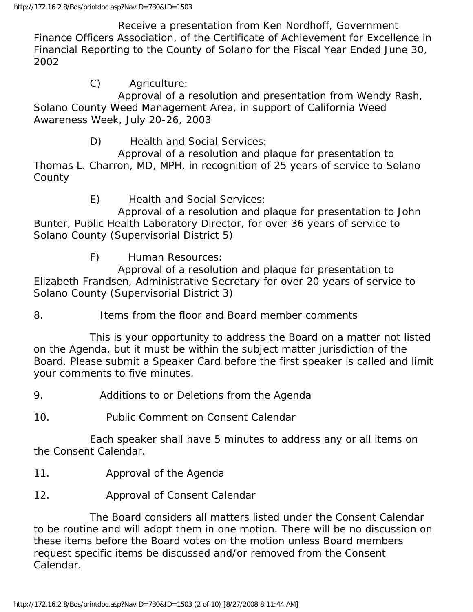Receive a presentation from Ken Nordhoff, Government Finance Officers Association, of the Certificate of Achievement for Excellence in Financial Reporting to the County of Solano for the Fiscal Year Ended June 30, 2002

C) Agriculture:

 Approval of a resolution and presentation from Wendy Rash, Solano County Weed Management Area, in support of California Weed Awareness Week, July 20-26, 2003

D) Health and Social Services:

 Approval of a resolution and plaque for presentation to Thomas L. Charron, MD, MPH, in recognition of 25 years of service to Solano **County** 

E) Health and Social Services:

 Approval of a resolution and plaque for presentation to John Bunter, Public Health Laboratory Director, for over 36 years of service to Solano County (Supervisorial District 5)

F) Human Resources:

 Approval of a resolution and plaque for presentation to Elizabeth Frandsen, Administrative Secretary for over 20 years of service to Solano County (Supervisorial District 3)

8. Items from the floor and Board member comments

 This is your opportunity to address the Board on a matter not listed on the Agenda, but it must be within the subject matter jurisdiction of the Board. Please submit a Speaker Card before the first speaker is called and limit your comments to five minutes.

9. Additions to or Deletions from the Agenda

10. Public Comment on Consent Calendar

 Each speaker shall have 5 minutes to address any or all items on the Consent Calendar.

- 11. Approval of the Agenda
- 12. Approval of Consent Calendar

 The Board considers all matters listed under the Consent Calendar to be routine and will adopt them in one motion. There will be no discussion on these items before the Board votes on the motion unless Board members request specific items be discussed and/or removed from the Consent Calendar.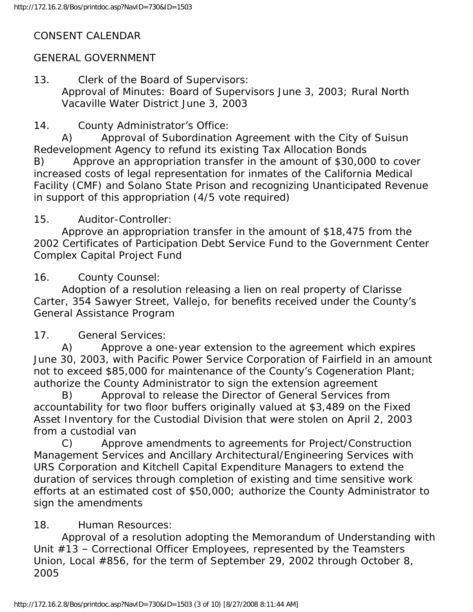# CONSENT CALENDAR

# GENERAL GOVERNMENT

13. Clerk of the Board of Supervisors: Approval of Minutes: Board of Supervisors June 3, 2003; Rural North Vacaville Water District June 3, 2003

14. County Administrator's Office:

 A) Approval of Subordination Agreement with the City of Suisun Redevelopment Agency to refund its existing Tax Allocation Bonds B) Approve an appropriation transfer in the amount of \$30,000 to cover increased costs of legal representation for inmates of the California Medical Facility (CMF) and Solano State Prison and recognizing Unanticipated Revenue in support of this appropriation (4/5 vote required)

## 15. Auditor-Controller:

 Approve an appropriation transfer in the amount of \$18,475 from the 2002 Certificates of Participation Debt Service Fund to the Government Center Complex Capital Project Fund

16. County Counsel:

 Adoption of a resolution releasing a lien on real property of Clarisse Carter, 354 Sawyer Street, Vallejo, for benefits received under the County's General Assistance Program

## 17. General Services:

 A) Approve a one-year extension to the agreement which expires June 30, 2003, with Pacific Power Service Corporation of Fairfield in an amount not to exceed \$85,000 for maintenance of the County's Cogeneration Plant; authorize the County Administrator to sign the extension agreement

 B) Approval to release the Director of General Services from accountability for two floor buffers originally valued at \$3,489 on the Fixed Asset Inventory for the Custodial Division that were stolen on April 2, 2003 from a custodial van

 C) Approve amendments to agreements for Project/Construction Management Services and Ancillary Architectural/Engineering Services with URS Corporation and Kitchell Capital Expenditure Managers to extend the duration of services through completion of existing and time sensitive work efforts at an estimated cost of \$50,000; authorize the County Administrator to sign the amendments

## 18. Human Resources:

 Approval of a resolution adopting the Memorandum of Understanding with Unit #13 – Correctional Officer Employees, represented by the Teamsters Union, Local #856, for the term of September 29, 2002 through October 8, 2005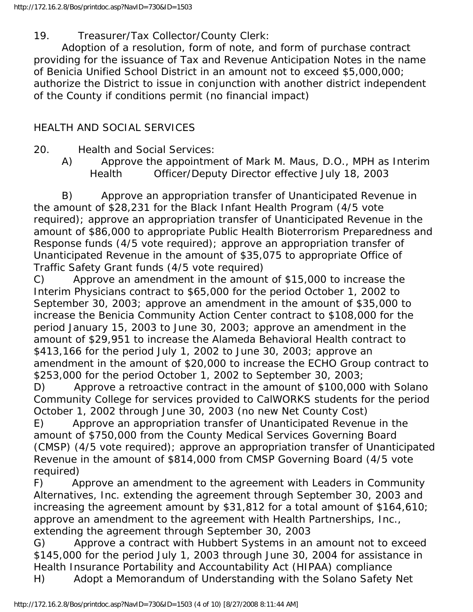### 19. Treasurer/Tax Collector/County Clerk:

 Adoption of a resolution, form of note, and form of purchase contract providing for the issuance of Tax and Revenue Anticipation Notes in the name of Benicia Unified School District in an amount not to exceed \$5,000,000; authorize the District to issue in conjunction with another district independent of the County if conditions permit (no financial impact)

### HEALTH AND SOCIAL SERVICES

20. Health and Social Services:

 A) Approve the appointment of Mark M. Maus, D.O., MPH as Interim Health Officer/Deputy Director effective July 18, 2003

 B) Approve an appropriation transfer of Unanticipated Revenue in the amount of \$28,231 for the Black Infant Health Program (4/5 vote required); approve an appropriation transfer of Unanticipated Revenue in the amount of \$86,000 to appropriate Public Health Bioterrorism Preparedness and Response funds (4/5 vote required); approve an appropriation transfer of Unanticipated Revenue in the amount of \$35,075 to appropriate Office of Traffic Safety Grant funds (4/5 vote required)

C) Approve an amendment in the amount of \$15,000 to increase the Interim Physicians contract to \$65,000 for the period October 1, 2002 to September 30, 2003; approve an amendment in the amount of \$35,000 to increase the Benicia Community Action Center contract to \$108,000 for the period January 15, 2003 to June 30, 2003; approve an amendment in the amount of \$29,951 to increase the Alameda Behavioral Health contract to \$413,166 for the period July 1, 2002 to June 30, 2003; approve an amendment in the amount of \$20,000 to increase the ECHO Group contract to \$253,000 for the period October 1, 2002 to September 30, 2003;

D) Approve a retroactive contract in the amount of \$100,000 with Solano Community College for services provided to CalWORKS students for the period October 1, 2002 through June 30, 2003 (no new Net County Cost)

E) Approve an appropriation transfer of Unanticipated Revenue in the amount of \$750,000 from the County Medical Services Governing Board (CMSP) (4/5 vote required); approve an appropriation transfer of Unanticipated Revenue in the amount of \$814,000 from CMSP Governing Board (4/5 vote required)

F) Approve an amendment to the agreement with Leaders in Community Alternatives, Inc. extending the agreement through September 30, 2003 and increasing the agreement amount by \$31,812 for a total amount of \$164,610; approve an amendment to the agreement with Health Partnerships, Inc., extending the agreement through September 30, 2003

G) Approve a contract with Hubbert Systems in an amount not to exceed \$145,000 for the period July 1, 2003 through June 30, 2004 for assistance in Health Insurance Portability and Accountability Act (HIPAA) compliance H) Adopt a Memorandum of Understanding with the Solano Safety Net

http://172.16.2.8/Bos/printdoc.asp?NavID=730&ID=1503 (4 of 10) [8/27/2008 8:11:44 AM]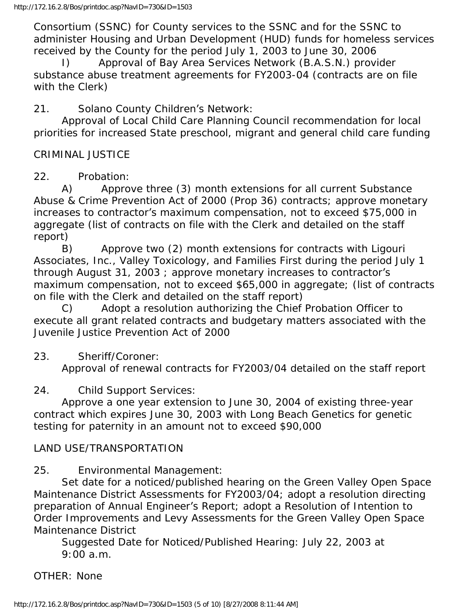Consortium (SSNC) for County services to the SSNC and for the SSNC to administer Housing and Urban Development (HUD) funds for homeless services received by the County for the period July 1, 2003 to June 30, 2006

Approval of Bay Area Services Network (B.A.S.N.) provider substance abuse treatment agreements for FY2003-04 (contracts are on file with the Clerk)

21. Solano County Children's Network:

 Approval of Local Child Care Planning Council recommendation for local priorities for increased State preschool, migrant and general child care funding

CRIMINAL JUSTICE

22. Probation:

 A) Approve three (3) month extensions for all current Substance Abuse & Crime Prevention Act of 2000 (Prop 36) contracts; approve monetary increases to contractor's maximum compensation, not to exceed \$75,000 in aggregate (list of contracts on file with the Clerk and detailed on the staff report)

 B) Approve two (2) month extensions for contracts with Ligouri Associates, Inc., Valley Toxicology, and Families First during the period July 1 through August 31, 2003 ; approve monetary increases to contractor's maximum compensation, not to exceed \$65,000 in aggregate; (list of contracts on file with the Clerk and detailed on the staff report)

 C) Adopt a resolution authorizing the Chief Probation Officer to execute all grant related contracts and budgetary matters associated with the Juvenile Justice Prevention Act of 2000

### 23. Sheriff/Coroner:

Approval of renewal contracts for FY2003/04 detailed on the staff report

### 24. Child Support Services:

 Approve a one year extension to June 30, 2004 of existing three-year contract which expires June 30, 2003 with Long Beach Genetics for genetic testing for paternity in an amount not to exceed \$90,000

### LAND USE/TRANSPORTATION

### 25. Environmental Management:

 Set date for a noticed/published hearing on the Green Valley Open Space Maintenance District Assessments for FY2003/04; adopt a resolution directing preparation of Annual Engineer's Report; adopt a Resolution of Intention to Order Improvements and Levy Assessments for the Green Valley Open Space Maintenance District

 Suggested Date for Noticed/Published Hearing: July 22, 2003 at 9:00 a.m.

OTHER: None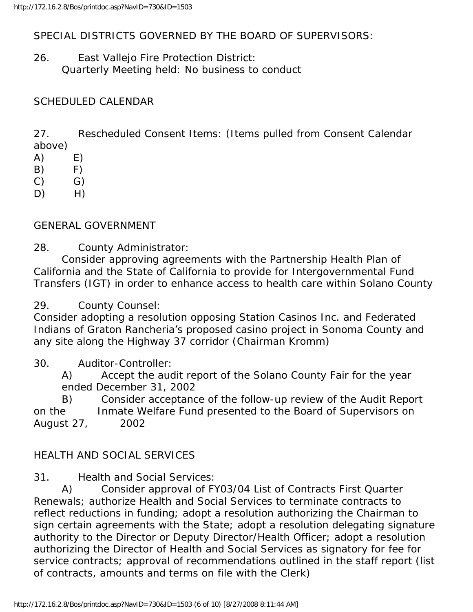SPECIAL DISTRICTS GOVERNED BY THE BOARD OF SUPERVISORS:

26. East Vallejo Fire Protection District: Quarterly Meeting held: No business to conduct

### SCHEDULED CALENDAR

27. Rescheduled Consent Items: (Items pulled from Consent Calendar above)

- $(A)$   $E)$
- $(B)$  F)
- $(C)$   $G)$
- $D)$  H)

GENERAL GOVERNMENT

28. County Administrator:

 Consider approving agreements with the Partnership Health Plan of California and the State of California to provide for Intergovernmental Fund Transfers (IGT) in order to enhance access to health care within Solano County

29. County Counsel:

Consider adopting a resolution opposing Station Casinos Inc. and Federated Indians of Graton Rancheria's proposed casino project in Sonoma County and any site along the Highway 37 corridor (Chairman Kromm)

#### 30. Auditor-Controller:

 A) Accept the audit report of the Solano County Fair for the year ended December 31, 2002

 B) Consider acceptance of the follow-up review of the Audit Report on the Inmate Welfare Fund presented to the Board of Supervisors on August 27, 2002

### HEALTH AND SOCIAL SERVICES

31. Health and Social Services:

 A) Consider approval of FY03/04 List of Contracts First Quarter Renewals; authorize Health and Social Services to terminate contracts to reflect reductions in funding; adopt a resolution authorizing the Chairman to sign certain agreements with the State; adopt a resolution delegating signature authority to the Director or Deputy Director/Health Officer; adopt a resolution authorizing the Director of Health and Social Services as signatory for fee for service contracts; approval of recommendations outlined in the staff report (list of contracts, amounts and terms on file with the Clerk)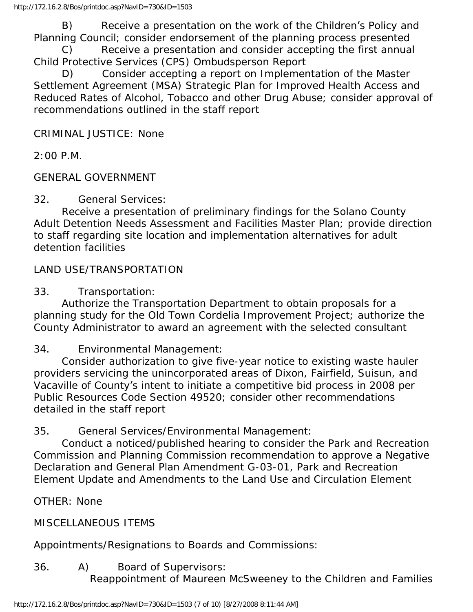B) Receive a presentation on the work of the Children's Policy and Planning Council; consider endorsement of the planning process presented

 C) Receive a presentation and consider accepting the first annual Child Protective Services (CPS) Ombudsperson Report

 D) Consider accepting a report on Implementation of the Master Settlement Agreement (MSA) Strategic Plan for Improved Health Access and Reduced Rates of Alcohol, Tobacco and other Drug Abuse; consider approval of recommendations outlined in the staff report

CRIMINAL JUSTICE: None

2:00 P.M.

GENERAL GOVERNMENT

32. General Services:

 Receive a presentation of preliminary findings for the Solano County Adult Detention Needs Assessment and Facilities Master Plan; provide direction to staff regarding site location and implementation alternatives for adult detention facilities

LAND USE/TRANSPORTATION

33. Transportation:

 Authorize the Transportation Department to obtain proposals for a planning study for the Old Town Cordelia Improvement Project; authorize the County Administrator to award an agreement with the selected consultant

34. Environmental Management:

 Consider authorization to give five-year notice to existing waste hauler providers servicing the unincorporated areas of Dixon, Fairfield, Suisun, and Vacaville of County's intent to initiate a competitive bid process in 2008 per Public Resources Code Section 49520; consider other recommendations detailed in the staff report

35. General Services/Environmental Management:

 Conduct a noticed/published hearing to consider the Park and Recreation Commission and Planning Commission recommendation to approve a Negative Declaration and General Plan Amendment G-03-01, Park and Recreation Element Update and Amendments to the Land Use and Circulation Element

OTHER: None

MISCELLANEOUS ITEMS

Appointments/Resignations to Boards and Commissions:

36. A) Board of Supervisors:

Reappointment of Maureen McSweeney to the Children and Families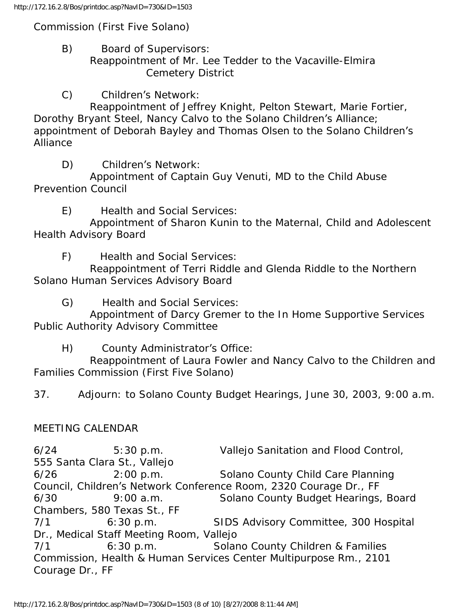Commission (First Five Solano)

- B) Board of Supervisors: Reappointment of Mr. Lee Tedder to the Vacaville-Elmira Cemetery District
- C) Children's Network:

 Reappointment of Jeffrey Knight, Pelton Stewart, Marie Fortier, Dorothy Bryant Steel, Nancy Calvo to the Solano Children's Alliance; appointment of Deborah Bayley and Thomas Olsen to the Solano Children's Alliance

D) Children's Network:

 Appointment of Captain Guy Venuti, MD to the Child Abuse Prevention Council

E) Health and Social Services:

 Appointment of Sharon Kunin to the Maternal, Child and Adolescent Health Advisory Board

F) Health and Social Services:

 Reappointment of Terri Riddle and Glenda Riddle to the Northern Solano Human Services Advisory Board

G) Health and Social Services:

 Appointment of Darcy Gremer to the In Home Supportive Services Public Authority Advisory Committee

H) County Administrator's Office:

 Reappointment of Laura Fowler and Nancy Calvo to the Children and Families Commission (First Five Solano)

37. Adjourn: to Solano County Budget Hearings, June 30, 2003, 9:00 a.m.

#### MEETING CALENDAR

6/24 5:30 p.m. Vallejo Sanitation and Flood Control, 555 Santa Clara St., Vallejo 6/26 2:00 p.m. Solano County Child Care Planning Council, Children's Network Conference Room, 2320 Courage Dr., FF 6/30 9:00 a.m. Solano County Budget Hearings, Board Chambers, 580 Texas St., FF 7/1 6:30 p.m. SIDS Advisory Committee, 300 Hospital Dr., Medical Staff Meeting Room, Vallejo 7/1 6:30 p.m. Solano County Children & Families Commission, Health & Human Services Center Multipurpose Rm., 2101 Courage Dr., FF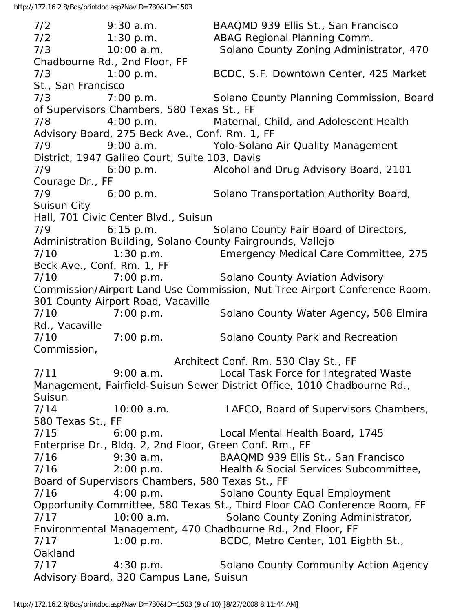7/2 9:30 a.m. BAAQMD 939 Ellis St., San Francisco 7/2 1:30 p.m. ABAG Regional Planning Comm. 7/3 10:00 a.m. Solano County Zoning Administrator, 470 Chadbourne Rd., 2nd Floor, FF 7/3 1:00 p.m. BCDC, S.F. Downtown Center, 425 Market St., San Francisco 7/3 7:00 p.m. Solano County Planning Commission, Board of Supervisors Chambers, 580 Texas St., FF 7/8 4:00 p.m. Maternal, Child, and Adolescent Health Advisory Board, 275 Beck Ave., Conf. Rm. 1, FF 7/9 9:00 a.m. Yolo-Solano Air Quality Management District, 1947 Galileo Court, Suite 103, Davis 7/9 6:00 p.m. Alcohol and Drug Advisory Board, 2101 Courage Dr., FF 7/9 6:00 p.m. Solano Transportation Authority Board, Suisun City Hall, 701 Civic Center Blvd., Suisun 7/9 6:15 p.m. Solano County Fair Board of Directors, Administration Building, Solano County Fairgrounds, Vallejo 7/10 1:30 p.m. Emergency Medical Care Committee, 275 Beck Ave., Conf. Rm. 1, FF 7/10 7:00 p.m. Solano County Aviation Advisory Commission/Airport Land Use Commission, Nut Tree Airport Conference Room, 301 County Airport Road, Vacaville 7/10 7:00 p.m. Solano County Water Agency, 508 Elmira Rd., Vacaville 7/10 7:00 p.m. Solano County Park and Recreation Commission, Architect Conf. Rm, 530 Clay St., FF 7/11 9:00 a.m. Local Task Force for Integrated Waste Management, Fairfield-Suisun Sewer District Office, 1010 Chadbourne Rd., **Suisun** 7/14 10:00 a.m. LAFCO, Board of Supervisors Chambers, 580 Texas St., FF 7/15 6:00 p.m. Local Mental Health Board, 1745 Enterprise Dr., Bldg. 2, 2nd Floor, Green Conf. Rm., FF 7/16 9:30 a.m. BAAQMD 939 Ellis St., San Francisco 7/16 2:00 p.m. Health & Social Services Subcommittee, Board of Supervisors Chambers, 580 Texas St., FF 7/16 4:00 p.m. Solano County Equal Employment Opportunity Committee, 580 Texas St., Third Floor CAO Conference Room, FF 7/17 10:00 a.m. Solano County Zoning Administrator, Environmental Management, 470 Chadbourne Rd., 2nd Floor, FF 7/17 1:00 p.m. BCDC, Metro Center, 101 Eighth St., Oakland 7/17 4:30 p.m. Solano County Community Action Agency Advisory Board, 320 Campus Lane, Suisun